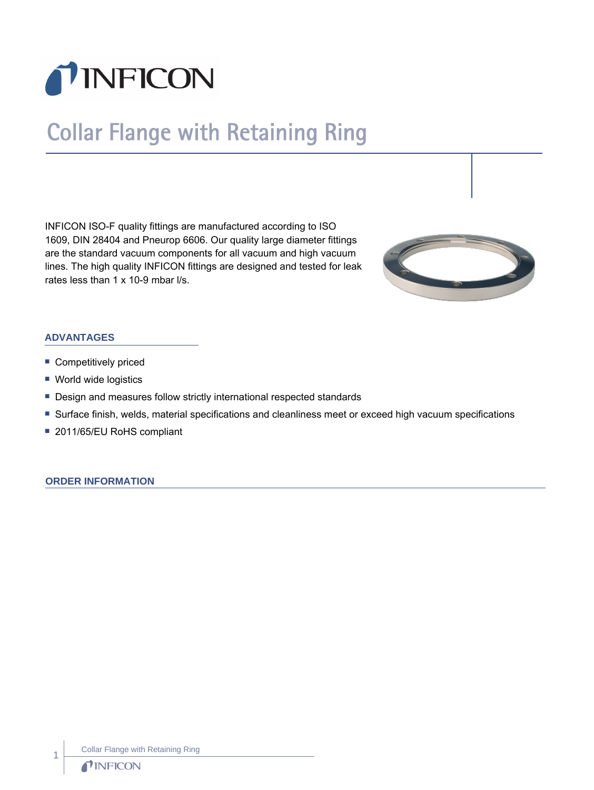

# Collar Flange with Retaining Ring

INFICON ISO-F quality fittings are manufactured according to ISO 1609, DIN 28404 and Pneurop 6606. Our quality large diameter fittings are the standard vacuum components for all vacuum and high vacuum lines. The high quality INFICON fittings are designed and tested for leak rates less than 1 x 10-9 mbar l/s.



# **ADVANTAGES**

- **Competitively priced**
- World wide logistics
- Design and measures follow strictly international respected standards
- Surface finish, welds, material specifications and cleanliness meet or exceed high vacuum specifications
- 2011/65/EU RoHS compliant

### **ORDER INFORMATION**

Collar Flange with Retaining Ring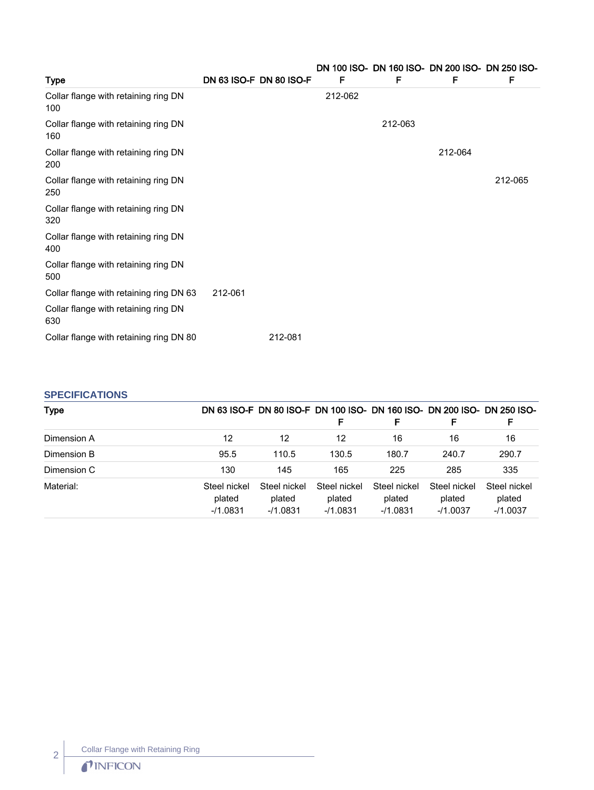| <b>Type</b>                                 | DN 63 ISO-F DN 80 ISO-F |         | F       | F       | DN 100 ISO- DN 160 ISO- DN 200 ISO- DN 250 ISO-<br>F | F       |
|---------------------------------------------|-------------------------|---------|---------|---------|------------------------------------------------------|---------|
| Collar flange with retaining ring DN<br>100 |                         |         | 212-062 |         |                                                      |         |
| Collar flange with retaining ring DN<br>160 |                         |         |         | 212-063 |                                                      |         |
| Collar flange with retaining ring DN<br>200 |                         |         |         |         | 212-064                                              |         |
| Collar flange with retaining ring DN<br>250 |                         |         |         |         |                                                      | 212-065 |
| Collar flange with retaining ring DN<br>320 |                         |         |         |         |                                                      |         |
| Collar flange with retaining ring DN<br>400 |                         |         |         |         |                                                      |         |
| Collar flange with retaining ring DN<br>500 |                         |         |         |         |                                                      |         |
| Collar flange with retaining ring DN 63     | 212-061                 |         |         |         |                                                      |         |
| Collar flange with retaining ring DN<br>630 |                         |         |         |         |                                                      |         |
| Collar flange with retaining ring DN 80     |                         | 212-081 |         |         |                                                      |         |

# **SPECIFICATIONS**

| <b>Type</b> |                                      |                                      |                                      |                                      |                                      | DN 63 ISO-F DN 80 ISO-F DN 100 ISO- DN 160 ISO- DN 200 ISO- DN 250 ISO- |
|-------------|--------------------------------------|--------------------------------------|--------------------------------------|--------------------------------------|--------------------------------------|-------------------------------------------------------------------------|
|             |                                      |                                      |                                      | F                                    | F                                    | F                                                                       |
| Dimension A | 12                                   | 12                                   | 12                                   | 16                                   | 16                                   | 16                                                                      |
| Dimension B | 95.5                                 | 110.5                                | 130.5                                | 180.7                                | 240.7                                | 290.7                                                                   |
| Dimension C | 130                                  | 145                                  | 165                                  | 225                                  | 285                                  | 335                                                                     |
| Material:   | Steel nickel<br>plated<br>$-11.0831$ | Steel nickel<br>plated<br>$-11.0831$ | Steel nickel<br>plated<br>$-11.0831$ | Steel nickel<br>plated<br>$-11.0831$ | Steel nickel<br>plated<br>$-11.0037$ | Steel nickel<br>plated<br>$-11.0037$                                    |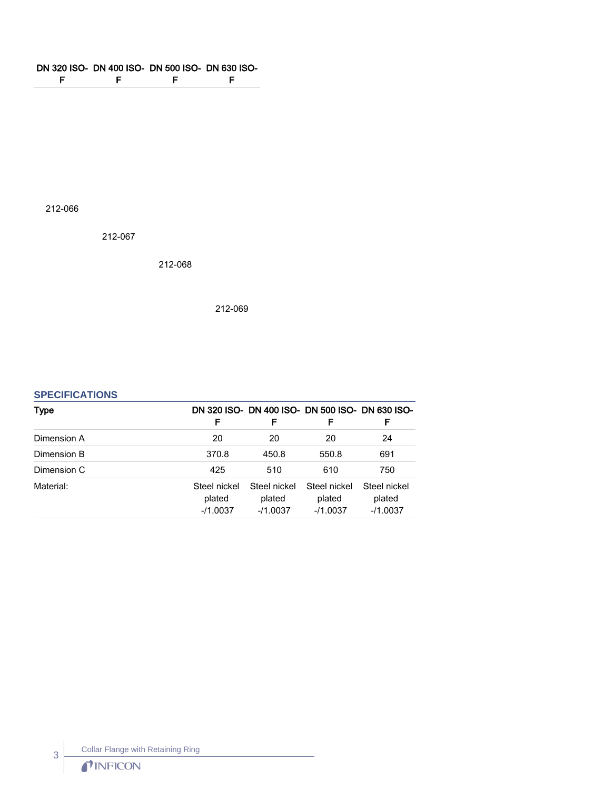#### DN 320 ISO-DN 400 ISO-DN 500 ISO-DN 630 ISO-F F **Figure 1999** F

212-066

212-067

212-068

212-069

## **SPECIFICATIONS**

| Type        | F                                   | DN 320 ISO- DN 400 ISO- DN 500 ISO- DN 630 ISO-<br>F | F                                   | F.                                   |
|-------------|-------------------------------------|------------------------------------------------------|-------------------------------------|--------------------------------------|
| Dimension A | 20                                  | 20                                                   | 20                                  | 24                                   |
| Dimension B | 370.8                               | 450.8                                                | 550.8                               | 691                                  |
| Dimension C | 425                                 | 510                                                  | 610                                 | 750                                  |
| Material:   | Steel nickel<br>plated<br>$-1.0037$ | Steel nickel<br>plated<br>$-1.0037$                  | Steel nickel<br>plated<br>$-1.0037$ | Steel nickel<br>plated<br>$-11.0037$ |